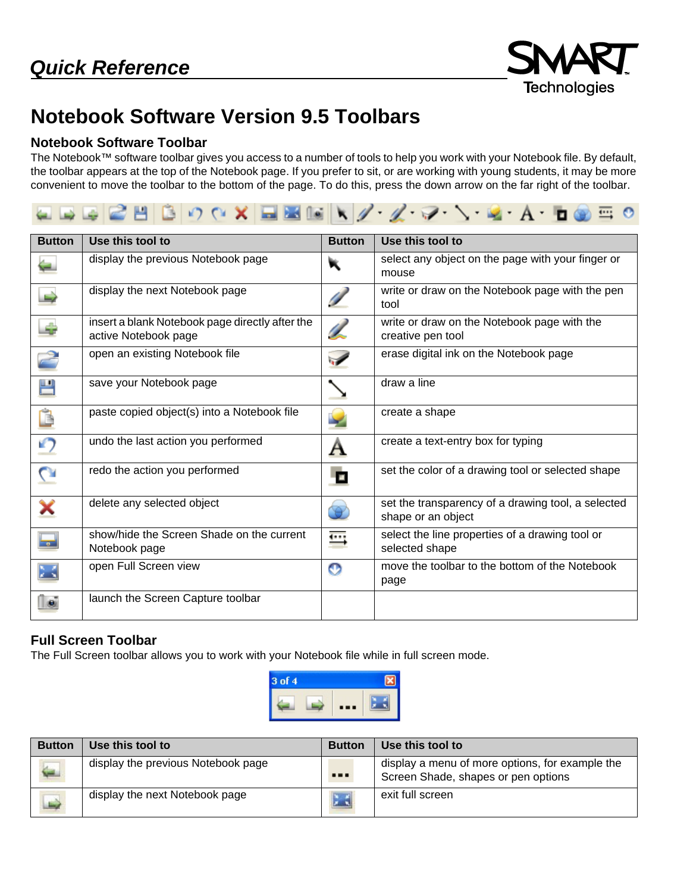

## **Notebook Software Version 9.5 Toolbars**

## **Notebook Software Toolbar**

The Notebook™ software toolbar gives you access to a number of tools to help you work with your Notebook file. By default, the toolbar appears at the top of the Notebook page. If you prefer to sit, or are working with young students, it may be more convenient to move the toolbar to the bottom of the page. To do this, press the down arrow on the far right of the toolbar.



| <b>Button</b>  | Use this tool to                                                        | <b>Button</b>         | Use this tool to                                                         |
|----------------|-------------------------------------------------------------------------|-----------------------|--------------------------------------------------------------------------|
|                | display the previous Notebook page                                      |                       | select any object on the page with your finger or<br>mouse               |
| پ              | display the next Notebook page                                          |                       | write or draw on the Notebook page with the pen<br>tool                  |
| ÷              | insert a blank Notebook page directly after the<br>active Notebook page | L                     | write or draw on the Notebook page with the<br>creative pen tool         |
|                | open an existing Notebook file                                          | $\blacktriangleright$ | erase digital ink on the Notebook page                                   |
| 쁜              | save your Notebook page                                                 |                       | draw a line                                                              |
| Ċ              | paste copied object(s) into a Notebook file                             |                       | create a shape                                                           |
| ŋ              | undo the last action you performed                                      | Α                     | create a text-entry box for typing                                       |
| $\overline{C}$ | redo the action you performed                                           | D                     | set the color of a drawing tool or selected shape                        |
| ×              | delete any selected object                                              |                       | set the transparency of a drawing tool, a selected<br>shape or an object |
| 量              | show/hide the Screen Shade on the current<br>Notebook page              | ⊞                     | select the line properties of a drawing tool or<br>selected shape        |
| Ж              | open Full Screen view                                                   | o                     | move the toolbar to the bottom of the Notebook<br>page                   |
|                | launch the Screen Capture toolbar                                       |                       |                                                                          |

## **Full Screen Toolbar**

The Full Screen toolbar allows you to work with your Notebook file while in full screen mode.



| <b>Button</b>           | Use this tool to                   | <b>Button</b> | Use this tool to                                                                       |
|-------------------------|------------------------------------|---------------|----------------------------------------------------------------------------------------|
| ے                       | display the previous Notebook page |               | display a menu of more options, for example the<br>Screen Shade, shapes or pen options |
| $\overline{\mathbb{D}}$ | display the next Notebook page     |               | exit full screen                                                                       |